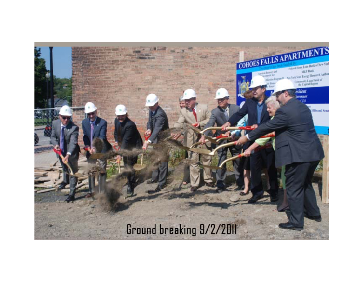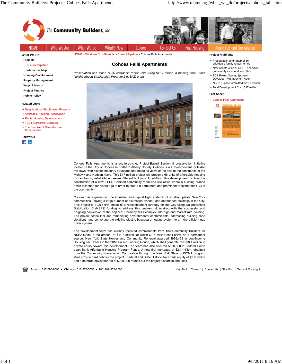

**Housing Development Property Management Ways & Means**

**Project Finance Public Policy**

#### **Related Links**

- → Neighborhood Stabilization Program
- Affordable Housing Preservation
- **→ Rental Housing Development**
- → TCB's Corporate Brochure → The Promise of Mixed-Income

**Communities** 

**Follow Us**  $f$  in



*Preservation and rehab of 66 affordable rental units using \$11.7 million in funding from TCB's Neighborhood Stabilization Program 2 (NSP2) grant.*

- community room and site office
- → TCB Roles: Owner, Sponsor, Developer, Management Agent
- → NSP2 Funds Committed: \$11.7 million
- → Total Development Cost: \$17 million

#### **Fact Sheet**

→ Cohoes Falls Apartments



Cohoes Falls Apartments is a scattered-site, Project-Based Section 8 preservation initiative located in the City of Cohoes in northern Albany County. Cohoes is a turn-of-the-century textile mill town, with historic masonry structures and beautiful views of the falls at the confluence of the Mohawk and Hudson rivers. This \$17 million project will preserve 66 units of affordable housing for families by rehabilitating seven different buildings. In addition, this development involves the construction of a new, LEED-Certified community room and site office where a building burned down less than ten years ago in order to create a permanent and prominent presence for TCB in the community.

Cohoes has experienced the industrial and capital flight endemic of smaller upstate New York communities, leaving a large number of distressed, vacant, and abandoned buildings in the City. This project is TCB's first phase of a redevelopment strategy for the City using Neighborhood Stabilization 2 (NSP2) funding to address this problem, dovetailing with the successful and on-going conversion of the adjacent Harmony Mills complex into high-end market rate housing. The project scope includes remediating environmental contaminants, addressing building code violations, and converting the existing electric baseboard heating system to a more efficient gas boiler system.

The development team has already received commitments from The Community Builders for NSP2 funds in the amount of \$11.7 million, of which \$1.6 million shall serve as a permanent source. New York State Homes and Community Renewal awarded \$989,463 in Low-Income Housing Tax Credits in the 2010 Unified Funding Round, which shall generate over \$8.1 million in private equity toward this development. The team has also secured \$500,000 in Federal Home Loan Bank Affordable Housing Program Funds. A new first mortgage of \$2.1 million, obtained from the Community Preservation Corporation through the New York State SONYMA program shall provide hard debt for the project. Federal and State Historic Tax Credit equity of \$2.6 million and a deferred developer fee of \$200,000 rounds out the project's sources and uses.